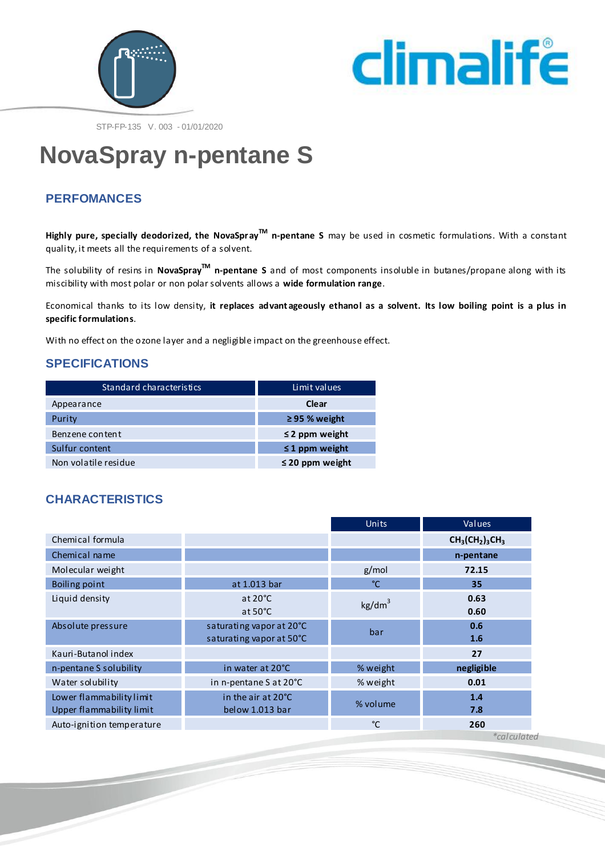



STP-FP-135 V. 003 - 01/01/2020

# **NovaSpray n-pentane S**

## **PERFOMANCES**

**Highly pure, specially deodorized, the NovaSprayTM n-pentane S** may be used in cosmetic formulations. With a constant quality, it meets all the requirements of a solvent.

The solubility of resins in **NovaSpray™ n-pentane S** and of most components insoluble in butanes/propane along with its miscibility with most polar or non polar solvents allows a **wide formulation range**.

Economical thanks to its low density, **it replaces advant ageously ethanol as a solvent. Its low boiling point is a plus in specific formulations**.

With no effect on the ozone layer and a negligible impact on the greenhouse effect.

#### **SPECIFICATIONS**

| Standard characteristics | Limit values         |  |  |
|--------------------------|----------------------|--|--|
| Appearance               | Clear                |  |  |
| Purity                   | $\geq$ 95 % weight   |  |  |
| Benzene content          | $\leq$ 2 ppm weight  |  |  |
| Sulfur content           | $\leq$ 1 ppm weight  |  |  |
| Non volatile residue     | $\leq$ 20 ppm weight |  |  |

#### **CHARACTERISTICS**

|                           |                          | Units              | Values         |
|---------------------------|--------------------------|--------------------|----------------|
| Chemical formula          |                          |                    | $CH3(CH2)3CH3$ |
| Chemical name             |                          |                    | n-pentane      |
| Molecular weight          |                          | g/mol              | 72.15          |
| Boiling point             | at 1.013 bar             | °C                 | 35             |
| Liquid density            | at $20^{\circ}$ C        | kg/dm <sup>3</sup> | 0.63           |
|                           | at $50^{\circ}$ C        |                    | 0.60           |
| Absolute pressure         | saturating vapor at 20°C | bar                | 0.6            |
|                           | saturating vapor at 50°C |                    | 1.6            |
| Kauri-Butanol index       |                          |                    | 27             |
| n-pentane S solubility    | in water at 20°C         | % weight           | negligible     |
| Water solubility          | in n-pentane S at 20°C   | % weight           | 0.01           |
| Lower flammability limit  | in the air at 20°C       | % volume           | 1.4            |
| Upper flammability limit  | below 1.013 bar          |                    | 7.8            |
| Auto-ignition temperature |                          | °C                 | 260            |

 *\*calculated*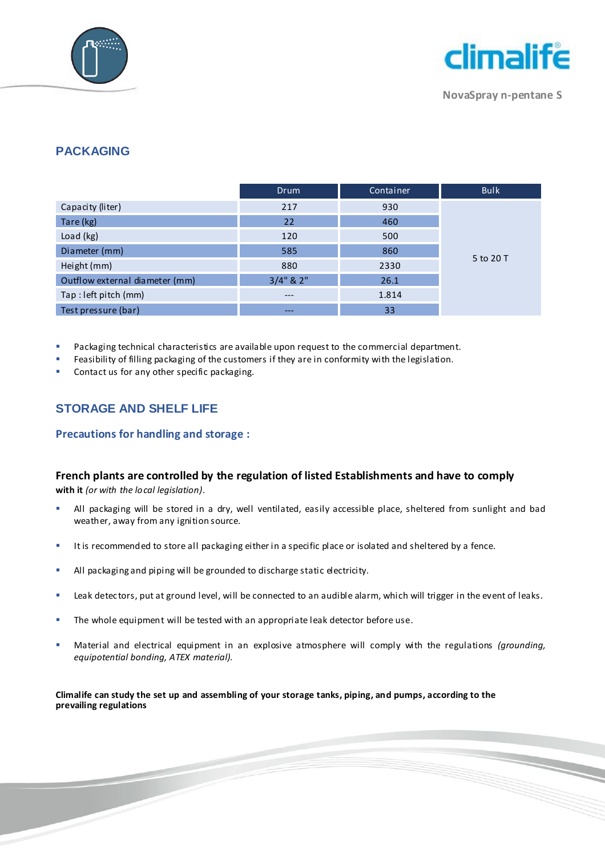



**NovaSpray n-pentane S**

## **PACKAGING**

|                                | <b>Drum</b>     | Container | <b>Bulk</b> |
|--------------------------------|-----------------|-----------|-------------|
| Capacity (liter)               | 217             | 930       |             |
| Tare (kg)                      | 22              | 460       |             |
| Load (kg)                      | 120             | 500       |             |
| Diameter (mm)                  | 585             | 860       |             |
| Height (mm)                    | 880             | 2330      | 5 to 20 T   |
| Outflow external diameter (mm) | $3/4$ " & $2$ " | 26.1      |             |
| Tap : left pitch (mm)          | $---$           | 1.814     |             |
| Test pressure (bar)            | $---$           | 33        |             |

Packaging technical characteristics are available upon request to the commercial department.

Feasibility of filling packaging of the customers if they are in conformity with the legislation.

Contact us for any other specific packaging.

## **STORAGE AND SHELF LIFE**

#### **Precautions for handling and storage :**

#### **French plants are controlled by the regulation of listed Establishments and have to comply**

**with it** *(or with the local legislation).*

- All packaging will be stored in a dry, well ventilated, easily accessible place, sheltered from sunlight and bad weather, away from any ignition source.
- It is recommended to store all packaging either in a specific place or isolated and sheltered by a fence.
- All packaging and piping will be grounded to discharge static electricity.
- **EXECT A LEAK detectors, put at ground level, will be connected to an audible alarm, which will trigger in the event of leaks.**
- **The whole equipment will be tested with an appropriate leak detector before use.**
- Material and electrical equipment in an explosive atmosphere will comply with the regulations *(grounding, equipotential bonding, ATEX material).*

**Climalife can study the set up and assembling of your storage tanks, piping, and pumps, according to the prevailing regulations**